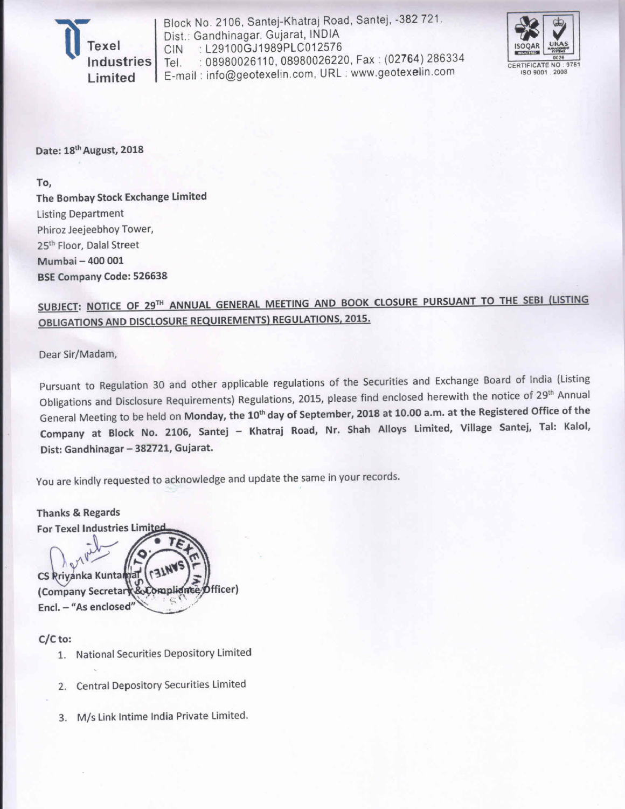Industries Limited

Block No. 2106, Santej-Khatraj Road, Santej, -382 721. Dist.: Gandhinagar. Gujarat, INDIA : L29100GJ1989PLC012576 CIN : 08980026110, 08980026220, Fax: (02764) 286334 Tel. E-mail: info@geotexelin.com, URL: www.geotexelin.com



Date: 18<sup>th</sup> August, 2018

To,

The Bombay Stock Exchange Limited **Listing Department** Phiroz Jeejeebhoy Tower, 25<sup>th</sup> Floor, Dalal Street Mumbai - 400 001 **BSE Company Code: 526638** 

# SUBJECT: NOTICE OF 29TH ANNUAL GENERAL MEETING AND BOOK CLOSURE PURSUANT TO THE SEBI (LISTING **OBLIGATIONS AND DISCLOSURE REQUIREMENTS) REGULATIONS, 2015.**

Dear Sir/Madam,

Pursuant to Regulation 30 and other applicable regulations of the Securities and Exchange Board of India (Listing Obligations and Disclosure Requirements) Regulations, 2015, please find enclosed herewith the notice of 29<sup>th</sup> Annual General Meeting to be held on Monday, the 10<sup>th</sup> day of September, 2018 at 10.00 a.m. at the Registered Office of the Company at Block No. 2106, Santej - Khatraj Road, Nr. Shah Alloys Limited, Village Santej, Tal: Kalol, Dist: Gandhinagar - 382721, Gujarat.

You are kindly requested to acknowledge and update the same in your records.

**Thanks & Regards** For Texel Industries Limits CS Rriyanka Kuntama **Officer**) (Company Secretar Compliance Encl. - "As enclosed"

# $C/C$  to:

- 1. National Securities Depository Limited
- 2. Central Depository Securities Limited
- 3. M/s Link Intime India Private Limited.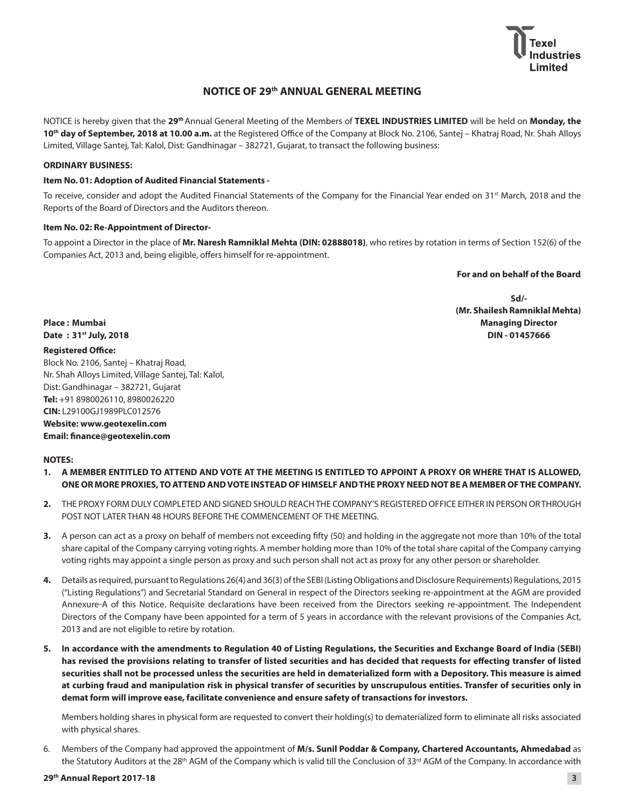

## **NOTICE OF 29th ANNUAL GENERAL MEETING**

NOTICE is hereby given that the **29th**Annual General Meeting of the Members of **TEXEL INDUSTRIES LIMITED** will be held on **Monday, the**  10<sup>th</sup> day of September, 2018 at 10.00 a.m. at the Registered Office of the Company at Block No. 2106, Santej - Khatraj Road, Nr. Shah Alloys Limited, Village Santej, Tal: Kalol, Dist: Gandhinagar - 382721, Gujarat, to transact the following business:

## **ORDINARY BUSINESS:**

## **Item No. 01: Adoption of Audited Financial Statements -**

To receive, consider and adopt the Audited Financial Statements of the Company for the Financial Year ended on 31<sup>st</sup> March, 2018 and the Reports of the Board of Directors and the Auditors thereon.

## **Item No. 02: Re-Appointment of Director-**

To appoint a Director in the place of **Mr. Naresh Ramniklal Mehta (DIN: 02888018)**, who retires by rotation in terms of Section 152(6) of the Companies Act, 2013 and, being eligible, offers himself for re-appointment.

 **For and on behalf of the Board**

**Sd/- (Mr. Shailesh Ramniklal Mehta)** Place : Mumbai **Managing Director Date : 31st July, 2018 DIN - 01457666**

## **Registered Office:**

Block No. 2106, Santej - Khatraj Road, Nr. Shah Alloys Limited, Village Santej, Tal: Kalol, Dist: Gandhinagar - 382721, Gujarat **Tel:** +91 8980026110, 8980026220 **CIN:** L29100GJ1989PLC012576 **Website: www.geotexelin.com**

## **Email: finance@geotexelin.com**

## **NOTES:**

- **1. A MEMBER ENTITLED TO ATTEND AND VOTE AT THE MEETING IS ENTITLED TO APPOINT A PROXY OR WHERE THAT IS ALLOWED, ONE OR MORE PROXIES, TO ATTEND AND VOTE INSTEAD OF HIMSELF AND THE PROXY NEED NOT BE A MEMBER OF THE COMPANY.**
- **2.** THE PROXY FORM DULY COMPLETED AND SIGNED SHOULD REACH THE COMPANY'S REGISTERED OFFICE EITHER IN PERSON OR THROUGH POST NOT LATER THAN 48 HOURS BEFORE THE COMMENCEMENT OF THE MEETING.
- **3.** A person can act as a proxy on behalf of members not exceeding fifty (50) and holding in the aggregate not more than 10% of the total share capital of the Company carrying voting rights. A member holding more than 10% of the total share capital of the Company carrying voting rights may appoint a single person as proxy and such person shall not act as proxy for any other person or shareholder.
- 4. Details as required, pursuant to Regulations 26(4) and 36(3) of the SEBI (Listing Obligations and Disclosure Requirements) Regulations, 2015 ("Listing Regulations") and Secretarial Standard on General in respect of the Directors seeking re-appointment at the AGM are provided Annexure-A of this Notice. Requisite declarations have been received from the Directors seeking re-appointment. The Independent Directors of the Company have been appointed for a term of 5 years in accordance with the relevant provisions of the Companies Act, 2013 and are not eligible to retire by rotation.
- **5. In accordance with the amendments to Regulation 40 of Listing Regulations, the Securities and Exchange Board of India (SEBI) has revised the provisions relating to transfer of listed securities and has decided that requests for effecting transfer of listed securities shall not be processed unless the securities are held in dematerialized form with a Depository. This measure is aimed at curbing fraud and manipulation risk in physical transfer of securities by unscrupulous entities. Transfer of securities only in demat form will improve ease, facilitate convenience and ensure safety of transactions for investors.**

 Members holding shares in physical form are requested to convert their holding(s) to dematerialized form to eliminate all risks associated with physical shares.

6. Members of the Company had approved the appointment of **M/s. Sunil Poddar & Company, Chartered Accountants, Ahmedabad** as the Statutory Auditors at the 28<sup>th</sup> AGM of the Company which is valid till the Conclusion of 33<sup>rd</sup> AGM of the Company. In accordance with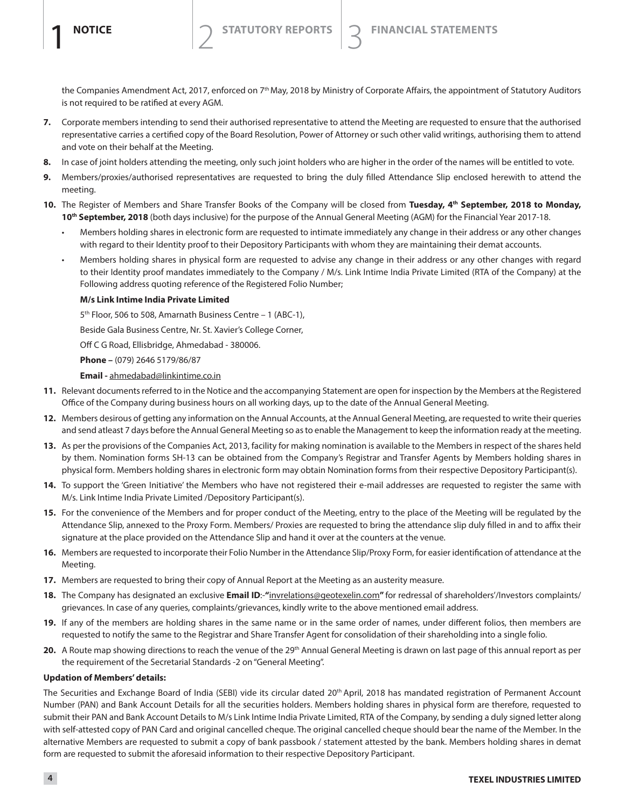the Companies Amendment Act, 2017, enforced on 7<sup>th</sup> May, 2018 by Ministry of Corporate Affairs, the appointment of Statutory Auditors is not required to be ratified at every AGM.

- **7.** Corporate members intending to send their authorised representative to attend the Meeting are requested to ensure that the authorised representative carries a certified copy of the Board Resolution, Power of Attorney or such other valid writings, authorising them to attend and vote on their behalf at the Meeting.
- 8. In case of joint holders attending the meeting, only such joint holders who are higher in the order of the names will be entitled to vote.
- **9.** Members/proxies/authorised representatives are requested to bring the duly filled Attendance Slip enclosed herewith to attend the meeting.
- 10. The Register of Members and Share Transfer Books of the Company will be closed from Tuesday, 4<sup>th</sup> September, 2018 to Monday, **10th September, 2018** (both days inclusive) for the purpose of the Annual General Meeting (AGM) for the Financial Year 2017-18.
	- Members holding shares in electronic form are requested to intimate immediately any change in their address or any other changes with regard to their Identity proof to their Depository Participants with whom they are maintaining their demat accounts.
	- Members holding shares in physical form are requested to advise any change in their address or any other changes with regard to their Identity proof mandates immediately to the Company / M/s. Link Intime India Private Limited (RTA of the Company) at the Following address quoting reference of the Registered Folio Number;

## **M/s Link Intime India Private Limited**

 $5<sup>th</sup>$  Floor, 506 to 508, Amarnath Business Centre - 1 (ABC-1),

Beside Gala Business Centre, Nr. St. Xavier's College Corner,

Off C G Road, Ellisbridge, Ahmedabad - 380006.

**Phone –** (079) 2646 5179/86/87

## **Email -** ahmedabad@linkintime.co.in

- **11.** Relevant documents referred to in the Notice and the accompanying Statement are open for inspection by the Members at the Registered Office of the Company during business hours on all working days, up to the date of the Annual General Meeting.
- **12.** Members desirous of getting any information on the Annual Accounts, at the Annual General Meeting, are requested to write their queries and send atleast 7 days before the Annual General Meeting so as to enable the Management to keep the information ready at the meeting.
- **13.** As per the provisions of the Companies Act, 2013, facility for making nomination is available to the Members in respect of the shares held by them. Nomination forms SH-13 can be obtained from the Company's Registrar and Transfer Agents by Members holding shares in physical form. Members holding shares in electronic form may obtain Nomination forms from their respective Depository Participant(s).
- 14. To support the 'Green Initiative' the Members who have not registered their e-mail addresses are requested to register the same with M/s. Link Intime India Private Limited /Depository Participant(s).
- **15.** For the convenience of the Members and for proper conduct of the Meeting, entry to the place of the Meeting will be regulated by the Attendance Slip, annexed to the Proxy Form. Members/ Proxies are requested to bring the attendance slip duly filled in and to affix their signature at the place provided on the Attendance Slip and hand it over at the counters at the venue.
- **16.** Members are requested to incorporate their Folio Number in the Attendance Slip/Proxy Form, for easier identification of attendance at the Meeting.
- **17.** Members are requested to bring their copy of Annual Report at the Meeting as an austerity measure.
- 18. The Company has designated an exclusive Email ID:-"invrelations@geotexelin.com" for redressal of shareholders'/Investors complaints/ grievances. In case of any queries, complaints/grievances, kindly write to the above mentioned email address.
- **19.** If any of the members are holding shares in the same name or in the same order of names, under different folios, then members are requested to notify the same to the Registrar and Share Transfer Agent for consolidation of their shareholding into a single folio.
- 20. A Route map showing directions to reach the venue of the 29<sup>th</sup> Annual General Meeting is drawn on last page of this annual report as per the requirement of the Secretarial Standards -2 on "General Meeting".

## **Updation of Members' details:**

The Securities and Exchange Board of India (SEBI) vide its circular dated 20<sup>th</sup> April, 2018 has mandated registration of Permanent Account Number (PAN) and Bank Account Details for all the securities holders. Members holding shares in physical form are therefore, requested to submit their PAN and Bank Account Details to M/s Link Intime India Private Limited, RTA of the Company, by sending a duly signed letter along with self-attested copy of PAN Card and original cancelled cheque. The original cancelled cheque should bear the name of the Member. In the alternative Members are requested to submit a copy of bank passbook / statement attested by the bank. Members holding shares in demat form are requested to submit the aforesaid information to their respective Depository Participant.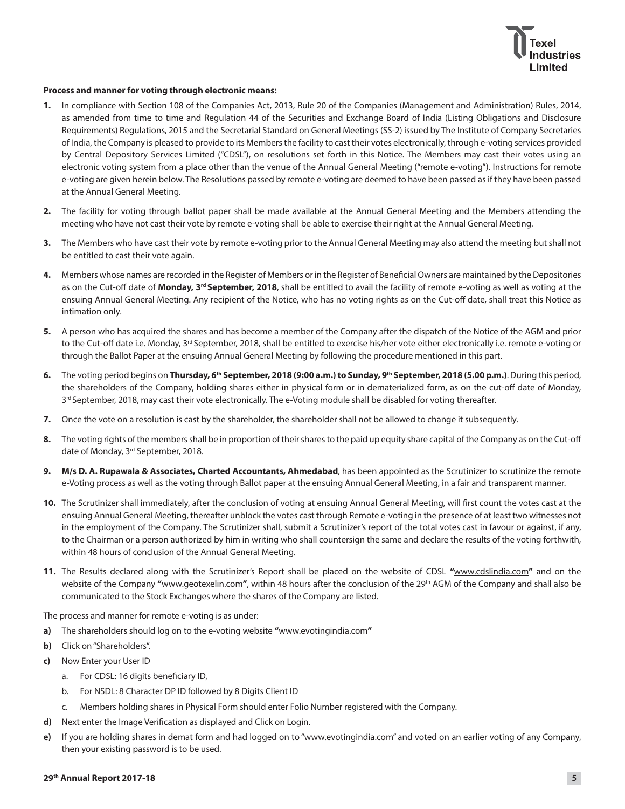

## **Process and manner for voting through electronic means:**

- **1.** In compliance with Section 108 of the Companies Act, 2013, Rule 20 of the Companies (Management and Administration) Rules, 2014, as amended from time to time and Regulation 44 of the Securities and Exchange Board of India (Listing Obligations and Disclosure Requirements) Regulations, 2015 and the Secretarial Standard on General Meetings (SS-2) issued by The Institute of Company Secretaries of India, the Company is pleased to provide to its Members the facility to cast their votes electronically, through e-voting services provided by Central Depository Services Limited ("CDSL"), on resolutions set forth in this Notice. The Members may cast their votes using an electronic voting system from a place other than the venue of the Annual General Meeting ("remote e-voting"). Instructions for remote e-voting are given herein below. The Resolutions passed by remote e-voting are deemed to have been passed as if they have been passed at the Annual General Meeting.
- **2.** The facility for voting through ballot paper shall be made available at the Annual General Meeting and the Members attending the meeting who have not cast their vote by remote e-voting shall be able to exercise their right at the Annual General Meeting.
- **3.** The Members who have cast their vote by remote e-voting prior to the Annual General Meeting may also attend the meeting but shall not be entitled to cast their vote again.
- **4.** Members whose names are recorded in the Register of Members or in the Register of Beneficial Owners are maintained by the Depositories as on the Cut-off date of **Monday, 3rd September, 2018**, shall be entitled to avail the facility of remote e-voting as well as voting at the ensuing Annual General Meeting. Any recipient of the Notice, who has no voting rights as on the Cut-off date, shall treat this Notice as intimation only.
- **5.** A person who has acquired the shares and has become a member of the Company after the dispatch of the Notice of the AGM and prior to the Cut-off date i.e. Monday, 3<sup>rd</sup> September, 2018, shall be entitled to exercise his/her vote either electronically i.e. remote e-voting or through the Ballot Paper at the ensuing Annual General Meeting by following the procedure mentioned in this part.
- **6.** The voting period begins on **Thursday, 6th September, 2018 (9:00 a.m.) to Sunday, 9th September, 2018 (5.00 p.m.)**. During this period, the shareholders of the Company, holding shares either in physical form or in dematerialized form, as on the cut-off date of Monday, 3<sup>rd</sup> September, 2018, may cast their vote electronically. The e-Voting module shall be disabled for voting thereafter.
- **7.** Once the vote on a resolution is cast by the shareholder, the shareholder shall not be allowed to change it subsequently.
- **8.** The voting rights of the members shall be in proportion of their shares to the paid up equity share capital of the Company as on the Cut-off date of Monday, 3<sup>rd</sup> September, 2018.
- **9. M/s D. A. Rupawala & Associates, Charted Accountants, Ahmedabad**, has been appointed as the Scrutinizer to scrutinize the remote e-Voting process as well as the voting through Ballot paper at the ensuing Annual General Meeting, in a fair and transparent manner.
- **10.** The Scrutinizer shall immediately, after the conclusion of voting at ensuing Annual General Meeting, will first count the votes cast at the ensuing Annual General Meeting, thereafter unblock the votes cast through Remote e-voting in the presence of at least two witnesses not in the employment of the Company. The Scrutinizer shall, submit a Scrutinizer's report of the total votes cast in favour or against, if any, to the Chairman or a person authorized by him in writing who shall countersign the same and declare the results of the voting forthwith, within 48 hours of conclusion of the Annual General Meeting.
- 11. The Results declared along with the Scrutinizer's Report shall be placed on the website of CDSL "www.cdslindia.com" and on the website of the Company **"**www.geotexelin.com**"**, within 48 hours after the conclusion of the 29th AGM of the Company and shall also be communicated to the Stock Exchanges where the shares of the Company are listed.

The process and manner for remote e-voting is as under:

- **a)** The shareholders should log on to the e-voting website **"**www.evotingindia.com**"**
- **b)** Click on "Shareholders".
- **c)** Now Enter your User ID
	- a. For CDSL: 16 digits beneficiary ID,
	- b. For NSDL: 8 Character DP ID followed by 8 Digits Client ID
	- c. Members holding shares in Physical Form should enter Folio Number registered with the Company.
- **d)** Next enter the Image Verification as displayed and Click on Login.
- **e)** If you are holding shares in demat form and had logged on to "www.evotingindia.com" and voted on an earlier voting of any Company, then your existing password is to be used.

## **29th Annual Report 2017-18 5**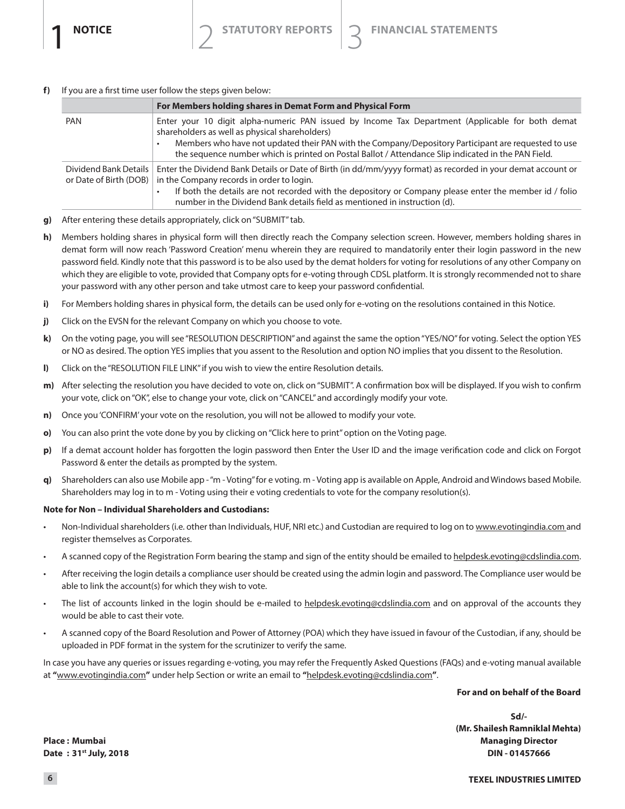f) If you are a first time user follow the steps given below:

|                                                 | For Members holding shares in Demat Form and Physical Form                                                                                                                                                                                                                                                                                                       |
|-------------------------------------------------|------------------------------------------------------------------------------------------------------------------------------------------------------------------------------------------------------------------------------------------------------------------------------------------------------------------------------------------------------------------|
| <b>PAN</b>                                      | Enter your 10 digit alpha-numeric PAN issued by Income Tax Department (Applicable for both demat<br>shareholders as well as physical shareholders)<br>Members who have not updated their PAN with the Company/Depository Participant are requested to use<br>the sequence number which is printed on Postal Ballot / Attendance Slip indicated in the PAN Field. |
| Dividend Bank Details<br>or Date of Birth (DOB) | Enter the Dividend Bank Details or Date of Birth (in dd/mm/yyyy format) as recorded in your demat account or<br>in the Company records in order to login.<br>If both the details are not recorded with the depository or Company please enter the member id / folio<br>number in the Dividend Bank details field as mentioned in instruction (d).                |

- g) After entering these details appropriately, click on "SUBMIT" tab.
- h) Members holding shares in physical form will then directly reach the Company selection screen. However, members holding shares in demat form will now reach 'Password Creation' menu wherein they are required to mandatorily enter their login password in the new password field. Kindly note that this password is to be also used by the demat holders for voting for resolutions of any other Company on which they are eligible to vote, provided that Company opts for e-voting through CDSL platform. It is strongly recommended not to share your password with any other person and take utmost care to keep your password confidential.
- i) For Members holding shares in physical form, the details can be used only for e-voting on the resolutions contained in this Notice.
- $j)$ Click on the EVSN for the relevant Company on which you choose to vote.
- k) On the voting page, you will see "RESOLUTION DESCRIPTION" and against the same the option "YES/NO" for voting. Select the option YES or NO as desired. The option YES implies that you assent to the Resolution and option NO implies that you dissent to the Resolution.
- $\mathbf{I}$ Click on the "RESOLUTION FILE LINK" if you wish to view the entire Resolution details.
- m) After selecting the resolution you have decided to vote on, click on "SUBMIT". A confirmation box will be displayed. If you wish to confirm your vote, click on "OK", else to change your vote, click on "CANCEL" and accordingly modify your vote.
- Once you 'CONFIRM' your vote on the resolution, you will not be allowed to modify your vote. n)
- You can also print the vote done by you by clicking on "Click here to print" option on the Voting page. o)
- If a demat account holder has forgotten the login password then Enter the User ID and the image verification code and click on Forgot p) Password & enter the details as prompted by the system.
- Shareholders can also use Mobile app "m Voting" for e voting. m Voting app is available on Apple, Android and Windows based Mobile.  $\alpha$ ) Shareholders may log in to m - Voting using their e voting credentials to vote for the company resolution(s).

## **Note for Non - Individual Shareholders and Custodians:**

- Non-Individual shareholders (i.e. other than Individuals, HUF, NRI etc.) and Custodian are required to log on to www.evotingindia.com and register themselves as Corporates.
- A scanned copy of the Registration Form bearing the stamp and sign of the entity should be emailed to helpdesk.evoting@cdslindia.com.  $\bullet$
- After receiving the login details a compliance user should be created using the admin login and password. The Compliance user would be able to link the account(s) for which they wish to vote.
- The list of accounts linked in the login should be e-mailed to helpdesk.evoting@cdslindia.com and on approval of the accounts they would be able to cast their vote.
- A scanned copy of the Board Resolution and Power of Attorney (POA) which they have issued in favour of the Custodian, if any, should be uploaded in PDF format in the system for the scrutinizer to verify the same.

In case you have any queries or issues regarding e-voting, you may refer the Frequently Asked Questions (FAQs) and e-voting manual available at "www.evotingindia.com" under help Section or write an email to "helpdesk.evoting@cdslindia.com".

## For and on behalf of the Board

 $Sd$ (Mr. Shailesh Ramniklal Mehta) **Managing Director** DIN-01457666

Place: Mumbai Date: 31<sup>st</sup> July, 2018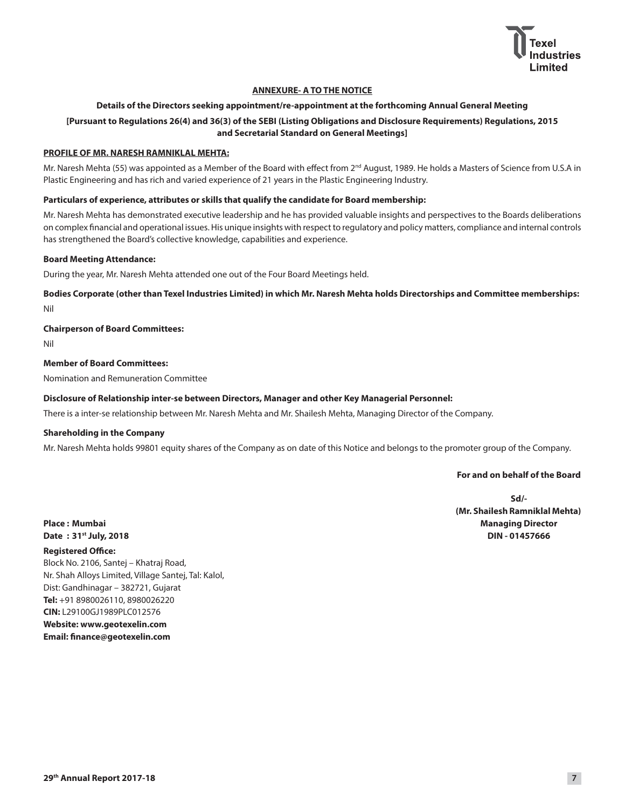

## **ANNEXURE- A TO THE NOTICE**

## **Details of the Directors seeking appointment/re-appointment at the forthcoming Annual General Meeting**

## **[Pursuant to Regulations 26(4) and 36(3) of the SEBI (Listing Obligations and Disclosure Requirements) Regulations, 2015 and Secretarial Standard on General Meetings]**

## **PROFILE OF MR. NARESH RAMNIKLAL MEHTA:**

Mr. Naresh Mehta (55) was appointed as a Member of the Board with effect from 2nd August, 1989. He holds a Masters of Science from U.S.A in Plastic Engineering and has rich and varied experience of 21 years in the Plastic Engineering Industry.

## **Particulars of experience, attributes or skills that qualify the candidate for Board membership:**

Mr. Naresh Mehta has demonstrated executive leadership and he has provided valuable insights and perspectives to the Boards deliberations on complex financial and operational issues. His unique insights with respect to regulatory and policy matters, compliance and internal controls has strengthened the Board's collective knowledge, capabilities and experience.

## **Board Meeting Attendance:**

During the year, Mr. Naresh Mehta attended one out of the Four Board Meetings held.

**Bodies Corporate (other than Texel Industries Limited) in which Mr. Naresh Mehta holds Directorships and Committee memberships:** Nil

## **Chairperson of Board Committees:**

Nil

### **Member of Board Committees:**

Nomination and Remuneration Committee

## **Disclosure of Relationship inter-se between Directors, Manager and other Key Managerial Personnel:**

There is a inter-se relationship between Mr. Naresh Mehta and Mr. Shailesh Mehta, Managing Director of the Company.

## **Shareholding in the Company**

Mr. Naresh Mehta holds 99801 equity shares of the Company as on date of this Notice and belongs to the promoter group of the Company.

## **For and on behalf of the Board**

**Sd/- (Mr. Shailesh Ramniklal Mehta) Place : Mumbai Managing Director Managing Director Date : 31st July, 2018 DIN - 01457666**

## **Registered Office:**

Block No. 2106, Santej - Khatraj Road, Nr. Shah Alloys Limited, Village Santej, Tal: Kalol, Dist: Gandhinagar - 382721, Gujarat **Tel:** +91 8980026110, 8980026220 **CIN:** L29100GJ1989PLC012576 **Website: www.geotexelin.com Email: finance@geotexelin.com**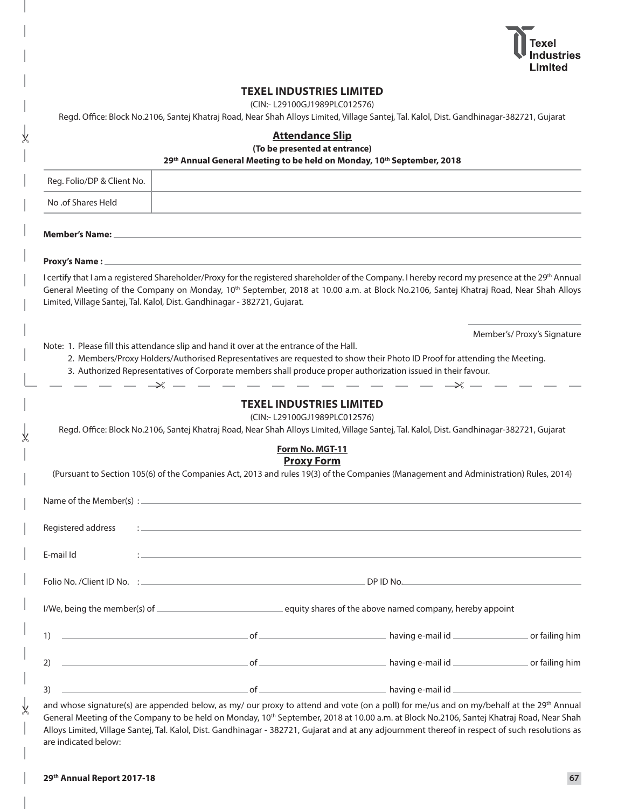

|                            | <b>TEXEL INDUSTRIES LIMITED</b><br>(CIN:- L29100GJ1989PLC012576)<br>Regd. Office: Block No.2106, Santej Khatraj Road, Near Shah Alloys Limited, Village Santej, Tal. Kalol, Dist. Gandhinagar-382721, Gujarat                                                                                                                                                                                                                                                            |            |                             |
|----------------------------|--------------------------------------------------------------------------------------------------------------------------------------------------------------------------------------------------------------------------------------------------------------------------------------------------------------------------------------------------------------------------------------------------------------------------------------------------------------------------|------------|-----------------------------|
|                            | <b>Attendance Slip</b><br>(To be presented at entrance)<br>29th Annual General Meeting to be held on Monday, 10th September, 2018                                                                                                                                                                                                                                                                                                                                        |            |                             |
| Reg. Folio/DP & Client No. |                                                                                                                                                                                                                                                                                                                                                                                                                                                                          |            |                             |
| No .of Shares Held         |                                                                                                                                                                                                                                                                                                                                                                                                                                                                          |            |                             |
| Member's Name: __          | ,我们也不会有什么。""我们的人,我们也不会有什么?""我们的人,我们也不会有什么?""我们的人,我们的人,我们的人,我们的人,我们的人,我们的人,我们的人,我                                                                                                                                                                                                                                                                                                                                                                                         |            |                             |
| <b>Proxy's Name:</b>       | and the control of the control of the control of the control of the control of the control of the control of the                                                                                                                                                                                                                                                                                                                                                         |            |                             |
|                            | I certify that I am a registered Shareholder/Proxy for the registered shareholder of the Company. I hereby record my presence at the 29 <sup>th</sup> Annual<br>General Meeting of the Company on Monday, 10 <sup>th</sup> September, 2018 at 10.00 a.m. at Block No.2106, Santej Khatraj Road, Near Shah Alloys<br>Limited, Village Santej, Tal. Kalol, Dist. Gandhinagar - 382721, Gujarat.                                                                            |            |                             |
|                            | Note: 1. Please fill this attendance slip and hand it over at the entrance of the Hall.<br>2. Members/Proxy Holders/Authorised Representatives are requested to show their Photo ID Proof for attending the Meeting.<br>3. Authorized Representatives of Corporate members shall produce proper authorization issued in their favour.<br>$ \rightarrow$ $-$                                                                                                              | $\times -$ | Member's/ Proxy's Signature |
|                            | <b>TEXEL INDUSTRIES LIMITED</b><br>(CIN:- L29100GJ1989PLC012576)<br>Regd. Office: Block No.2106, Santej Khatraj Road, Near Shah Alloys Limited, Village Santej, Tal. Kalol, Dist. Gandhinagar-382721, Gujarat                                                                                                                                                                                                                                                            |            |                             |
|                            | Form No. MGT-11<br><b>Proxy Form</b><br>(Pursuant to Section 105(6) of the Companies Act, 2013 and rules 19(3) of the Companies (Management and Administration) Rules, 2014)                                                                                                                                                                                                                                                                                             |            |                             |
|                            |                                                                                                                                                                                                                                                                                                                                                                                                                                                                          |            |                             |
| Registered address         |                                                                                                                                                                                                                                                                                                                                                                                                                                                                          |            |                             |
| E-mail Id                  | <u> 1980 - An Aonaichte ann an Comhair ann an Comhair ann an Comhair ann an Comhair ann an Comhair ann an Comhair </u>                                                                                                                                                                                                                                                                                                                                                   |            |                             |
|                            |                                                                                                                                                                                                                                                                                                                                                                                                                                                                          |            |                             |
|                            |                                                                                                                                                                                                                                                                                                                                                                                                                                                                          |            |                             |
|                            |                                                                                                                                                                                                                                                                                                                                                                                                                                                                          |            |                             |
| 2)                         | and the state of the contract of the contract of the contract of the contract of the contract of the contract of the contract of the contract of the contract of the contract of the contract of the contract of the contract                                                                                                                                                                                                                                            |            |                             |
|                            | 3) $\overline{\phantom{a}}$ $\overline{\phantom{a}}$ $\overline{\phantom{a}}$ $\overline{\phantom{a}}$ $\overline{\phantom{a}}$ $\overline{\phantom{a}}$ $\overline{\phantom{a}}$ $\overline{\phantom{a}}$ $\overline{\phantom{a}}$ $\overline{\phantom{a}}$ $\overline{\phantom{a}}$ $\overline{\phantom{a}}$ $\overline{\phantom{a}}$ $\overline{\phantom{a}}$ $\overline{\phantom{a}}$ $\overline{\phantom{a}}$ $\overline{\phantom{a}}$ $\overline{\phantom{a}}$ $\$ |            |                             |

and whose signature(s) are appended below, as my/ our proxy to attend and vote (on a poll) for me/us and on my/behalf at the 29<sup>th</sup> Annual General Meeting of the Company to be held on Monday, 10<sup>th</sup> September, 2018 at 10.00 a.m. at Block No.2106, Santej Khatraj Road, Near Shah Alloys Limited, Village Santej, Tal. Kalol, Dist. Gandhinagar - 382721, Gujarat and at any adjournment thereof in respect of such resolutions as are indicated below:

⋇

⋇

⋇